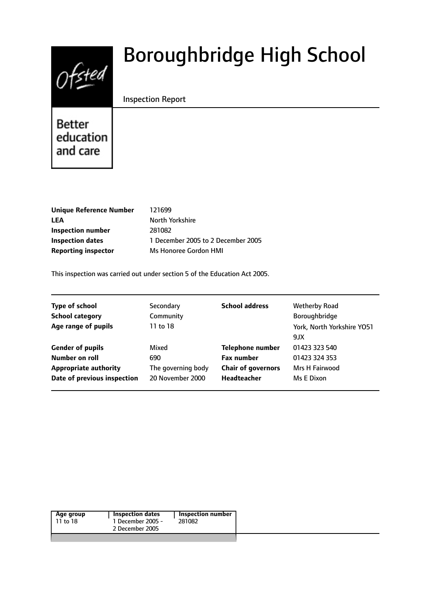

# Boroughbridge High School

# Inspection Report

Better education and care

| <b>Unique Reference Number</b> |
|--------------------------------|
| <b>LEA</b>                     |
| Inspection number              |
| <b>Inspection dates</b>        |
| <b>Reporting inspector</b>     |

**Unique Reference Number** 121699 **North Yorkshire Inspection number** 281082 **Inspection dates** 1 December 2005 to 2 December 2005 **Reporting inspector** Ms Honoree Gordon HMI

This inspection was carried out under section 5 of the Education Act 2005.

| <b>Type of school</b><br><b>School category</b><br>Age range of pupils | Secondary<br>Community<br>11 to 18 | <b>School address</b>     | <b>Wetherby Road</b><br>Boroughbridge<br>York, North Yorkshire YO51<br>9JX |
|------------------------------------------------------------------------|------------------------------------|---------------------------|----------------------------------------------------------------------------|
| <b>Gender of pupils</b>                                                | Mixed                              | <b>Telephone number</b>   | 01423 323 540                                                              |
| Number on roll                                                         | 690                                | <b>Fax number</b>         | 01423 324 353                                                              |
| <b>Appropriate authority</b>                                           | The governing body                 | <b>Chair of governors</b> | Mrs H Fairwood                                                             |
| Date of previous inspection                                            | 20 November 2000                   | <b>Headteacher</b>        | Ms E Dixon                                                                 |

|  | Age group<br>11 to 18 | Inspection dates<br>1 December 2005 -<br>2 December 2005 | <b>Inspection number</b><br>281082 |
|--|-----------------------|----------------------------------------------------------|------------------------------------|
|--|-----------------------|----------------------------------------------------------|------------------------------------|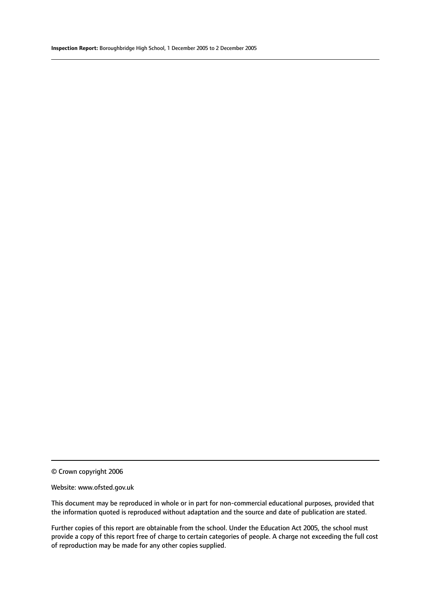© Crown copyright 2006

#### Website: www.ofsted.gov.uk

This document may be reproduced in whole or in part for non-commercial educational purposes, provided that the information quoted is reproduced without adaptation and the source and date of publication are stated.

Further copies of this report are obtainable from the school. Under the Education Act 2005, the school must provide a copy of this report free of charge to certain categories of people. A charge not exceeding the full cost of reproduction may be made for any other copies supplied.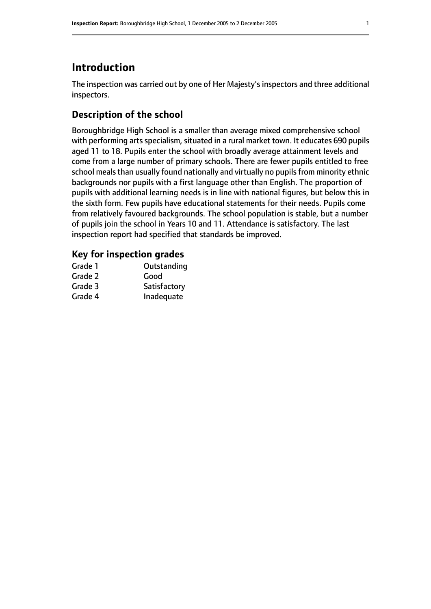# **Introduction**

The inspection was carried out by one of Her Majesty's inspectors and three additional inspectors.

# **Description of the school**

Boroughbridge High School is a smaller than average mixed comprehensive school with performing arts specialism, situated in a rural market town. It educates 690 pupils aged 11 to 18. Pupils enter the school with broadly average attainment levels and come from a large number of primary schools. There are fewer pupils entitled to free school meals than usually found nationally and virtually no pupils from minority ethnic backgrounds nor pupils with a first language other than English. The proportion of pupils with additional learning needs is in line with national figures, but below this in the sixth form. Few pupils have educational statements for their needs. Pupils come from relatively favoured backgrounds. The school population is stable, but a number of pupils join the school in Years 10 and 11. Attendance is satisfactory. The last inspection report had specified that standards be improved.

# **Key for inspection grades**

| Grade 1 | Outstanding  |
|---------|--------------|
| Grade 2 | Good         |
| Grade 3 | Satisfactory |
| Grade 4 | Inadequate   |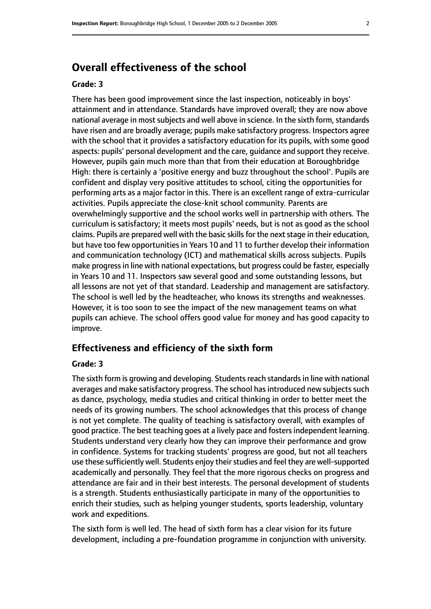# **Overall effectiveness of the school**

## **Grade: 3**

There has been good improvement since the last inspection, noticeably in boys' attainment and in attendance. Standards have improved overall; they are now above national average in most subjects and well above in science. In the sixth form, standards have risen and are broadly average; pupils make satisfactory progress. Inspectors agree with the school that it provides a satisfactory education for its pupils, with some good aspects: pupils' personal development and the care, guidance and support they receive. However, pupils gain much more than that from their education at Boroughbridge High: there is certainly a 'positive energy and buzz throughout the school'. Pupils are confident and display very positive attitudes to school, citing the opportunities for performing arts as a major factor in this. There is an excellent range of extra-curricular activities. Pupils appreciate the close-knit school community. Parents are overwhelmingly supportive and the school works well in partnership with others. The curriculum is satisfactory; it meets most pupils' needs, but is not as good as the school claims. Pupils are prepared well with the basic skills for the next stage in their education, but have too few opportunities in Years 10 and 11 to further develop their information and communication technology (ICT) and mathematical skills across subjects. Pupils make progressin line with national expectations, but progress could be faster, especially in Years 10 and 11. Inspectors saw several good and some outstanding lessons, but all lessons are not yet of that standard. Leadership and management are satisfactory. The school is well led by the headteacher, who knows its strengths and weaknesses. However, it is too soon to see the impact of the new management teams on what pupils can achieve. The school offers good value for money and has good capacity to improve.

# **Effectiveness and efficiency of the sixth form**

#### **Grade: 3**

The sixth form is growing and developing. Students reach standards in line with national averages and make satisfactory progress. The school has introduced new subjects such as dance, psychology, media studies and critical thinking in order to better meet the needs of its growing numbers. The school acknowledges that this process of change is not yet complete. The quality of teaching is satisfactory overall, with examples of good practice. The best teaching goes at a lively pace and fosters independent learning. Students understand very clearly how they can improve their performance and grow in confidence. Systems for tracking students' progress are good, but not all teachers use these sufficiently well. Students enjoy their studies and feel they are well-supported academically and personally. They feel that the more rigorous checks on progress and attendance are fair and in their best interests. The personal development of students is a strength. Students enthusiastically participate in many of the opportunities to enrich their studies, such as helping younger students, sports leadership, voluntary work and expeditions.

The sixth form is well led. The head of sixth form has a clear vision for its future development, including a pre-foundation programme in conjunction with university.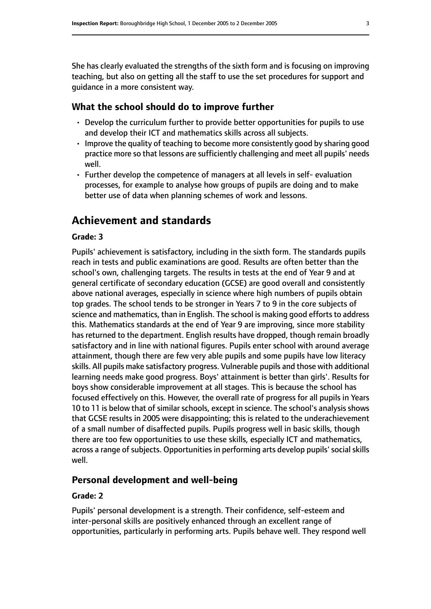She has clearly evaluated the strengths of the sixth form and is focusing on improving teaching, but also on getting all the staff to use the set procedures for support and guidance in a more consistent way.

## **What the school should do to improve further**

- Develop the curriculum further to provide better opportunities for pupils to use and develop their ICT and mathematics skills across all subjects.
- Improve the quality of teaching to become more consistently good by sharing good practice more so that lessons are sufficiently challenging and meet all pupils' needs well.
- Further develop the competence of managers at all levels in self- evaluation processes, for example to analyse how groups of pupils are doing and to make better use of data when planning schemes of work and lessons.

# **Achievement and standards**

#### **Grade: 3**

Pupils' achievement is satisfactory, including in the sixth form. The standards pupils reach in tests and public examinations are good. Results are often better than the school's own, challenging targets. The results in tests at the end of Year 9 and at general certificate of secondary education (GCSE) are good overall and consistently above national averages, especially in science where high numbers of pupils obtain top grades. The school tends to be stronger in Years 7 to 9 in the core subjects of science and mathematics, than in English. The school is making good efforts to address this. Mathematics standards at the end of Year 9 are improving, since more stability has returned to the department. English results have dropped, though remain broadly satisfactory and in line with national figures. Pupils enter school with around average attainment, though there are few very able pupils and some pupils have low literacy skills. All pupils make satisfactory progress. Vulnerable pupils and those with additional learning needs make good progress. Boys' attainment is better than girls'. Results for boys show considerable improvement at all stages. This is because the school has focused effectively on this. However, the overall rate of progress for all pupils in Years 10 to 11 is below that of similar schools, except in science. The school's analysis shows that GCSE results in 2005 were disappointing; this is related to the underachievement of a small number of disaffected pupils. Pupils progress well in basic skills, though there are too few opportunities to use these skills, especially ICT and mathematics, across a range of subjects. Opportunities in performing arts develop pupils' social skills well.

## **Personal development and well-being**

#### **Grade: 2**

Pupils' personal development is a strength. Their confidence, self-esteem and inter-personal skills are positively enhanced through an excellent range of opportunities, particularly in performing arts. Pupils behave well. They respond well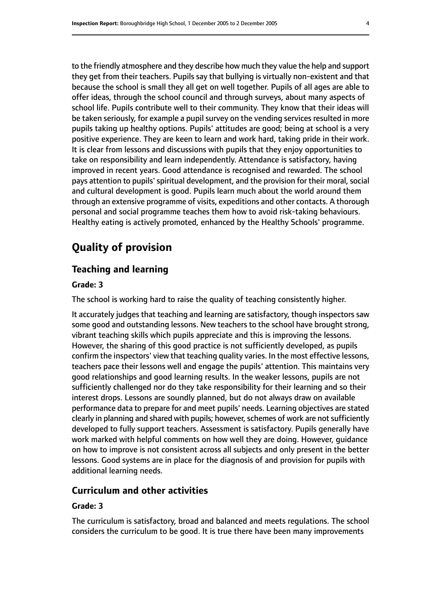to the friendly atmosphere and they describe how much they value the help and support they get from their teachers. Pupils say that bullying is virtually non-existent and that because the school is small they all get on well together. Pupils of all ages are able to offer ideas, through the school council and through surveys, about many aspects of school life. Pupils contribute well to their community. They know that their ideas will be taken seriously, for example a pupil survey on the vending services resulted in more pupils taking up healthy options. Pupils' attitudes are good; being at school is a very positive experience. They are keen to learn and work hard, taking pride in their work. It is clear from lessons and discussions with pupils that they enjoy opportunities to take on responsibility and learn independently. Attendance is satisfactory, having improved in recent years. Good attendance is recognised and rewarded. The school pays attention to pupils' spiritual development, and the provision for their moral, social and cultural development is good. Pupils learn much about the world around them through an extensive programme of visits, expeditions and other contacts. A thorough personal and social programme teaches them how to avoid risk-taking behaviours. Healthy eating is actively promoted, enhanced by the Healthy Schools' programme.

# **Quality of provision**

# **Teaching and learning**

# **Grade: 3**

The school is working hard to raise the quality of teaching consistently higher.

It accurately judges that teaching and learning are satisfactory, though inspectors saw some good and outstanding lessons. New teachers to the school have brought strong, vibrant teaching skills which pupils appreciate and this is improving the lessons. However, the sharing of this good practice is not sufficiently developed, as pupils confirm the inspectors' view that teaching quality varies. In the most effective lessons, teachers pace their lessons well and engage the pupils' attention. This maintains very good relationships and good learning results. In the weaker lessons, pupils are not sufficiently challenged nor do they take responsibility for their learning and so their interest drops. Lessons are soundly planned, but do not always draw on available performance data to prepare for and meet pupils' needs. Learning objectives are stated clearly in planning and shared with pupils; however, schemes of work are not sufficiently developed to fully support teachers. Assessment is satisfactory. Pupils generally have work marked with helpful comments on how well they are doing. However, guidance on how to improve is not consistent across all subjects and only present in the better lessons. Good systems are in place for the diagnosis of and provision for pupils with additional learning needs.

# **Curriculum and other activities**

#### **Grade: 3**

The curriculum is satisfactory, broad and balanced and meets regulations. The school considers the curriculum to be good. It is true there have been many improvements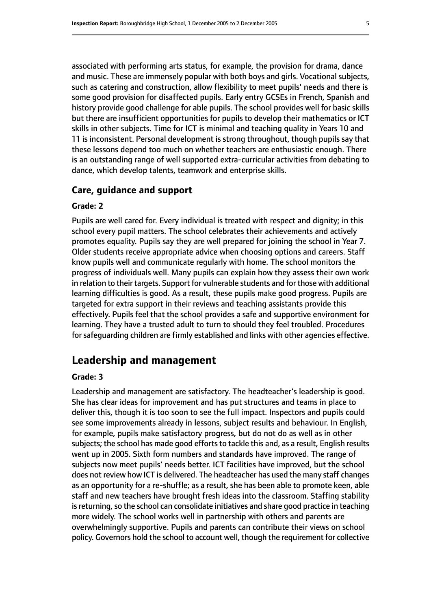associated with performing arts status, for example, the provision for drama, dance and music. These are immensely popular with both boys and girls. Vocational subjects, such as catering and construction, allow flexibility to meet pupils' needs and there is some good provision for disaffected pupils. Early entry GCSEs in French, Spanish and history provide good challenge for able pupils. The school provides well for basic skills but there are insufficient opportunities for pupils to develop their mathematics or ICT skills in other subjects. Time for ICT is minimal and teaching quality in Years 10 and 11 is inconsistent. Personal development is strong throughout, though pupils say that these lessons depend too much on whether teachers are enthusiastic enough. There is an outstanding range of well supported extra-curricular activities from debating to dance, which develop talents, teamwork and enterprise skills.

#### **Care, guidance and support**

#### **Grade: 2**

Pupils are well cared for. Every individual is treated with respect and dignity; in this school every pupil matters. The school celebrates their achievements and actively promotes equality. Pupils say they are well prepared for joining the school in Year 7. Older students receive appropriate advice when choosing options and careers. Staff know pupils well and communicate regularly with home. The school monitors the progress of individuals well. Many pupils can explain how they assess their own work in relation to their targets. Support for vulnerable students and for those with additional learning difficulties is good. As a result, these pupils make good progress. Pupils are targeted for extra support in their reviews and teaching assistants provide this effectively. Pupils feel that the school provides a safe and supportive environment for learning. They have a trusted adult to turn to should they feel troubled. Procedures for safeguarding children are firmly established and links with other agencies effective.

# **Leadership and management**

## **Grade: 3**

Leadership and management are satisfactory. The headteacher's leadership is good. She has clear ideas for improvement and has put structures and teams in place to deliver this, though it is too soon to see the full impact. Inspectors and pupils could see some improvements already in lessons, subject results and behaviour. In English, for example, pupils make satisfactory progress, but do not do as well as in other subjects; the school has made good efforts to tackle this and, as a result, English results went up in 2005. Sixth form numbers and standards have improved. The range of subjects now meet pupils' needs better. ICT facilities have improved, but the school does not review how ICT is delivered. The headteacher has used the many staff changes as an opportunity for a re-shuffle; as a result, she has been able to promote keen, able staff and new teachers have brought fresh ideas into the classroom. Staffing stability is returning, so the school can consolidate initiatives and share good practice in teaching more widely. The school works well in partnership with others and parents are overwhelmingly supportive. Pupils and parents can contribute their views on school policy. Governors hold the school to account well, though the requirement for collective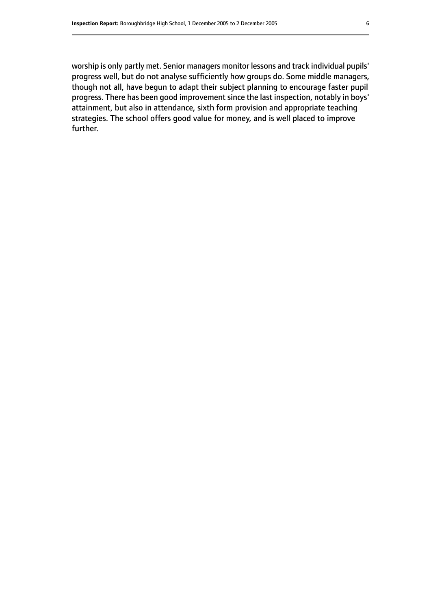worship is only partly met. Senior managers monitor lessons and track individual pupils' progress well, but do not analyse sufficiently how groups do. Some middle managers, though not all, have begun to adapt their subject planning to encourage faster pupil progress. There has been good improvement since the last inspection, notably in boys' attainment, but also in attendance, sixth form provision and appropriate teaching strategies. The school offers good value for money, and is well placed to improve further.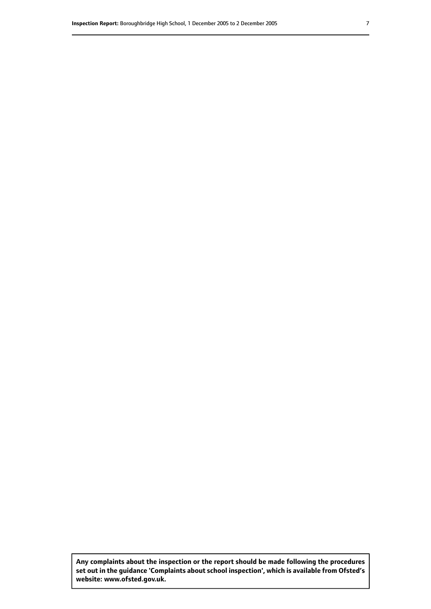**Any complaints about the inspection or the report should be made following the procedures set out inthe guidance 'Complaints about school inspection', whichis available from Ofsted's website: www.ofsted.gov.uk.**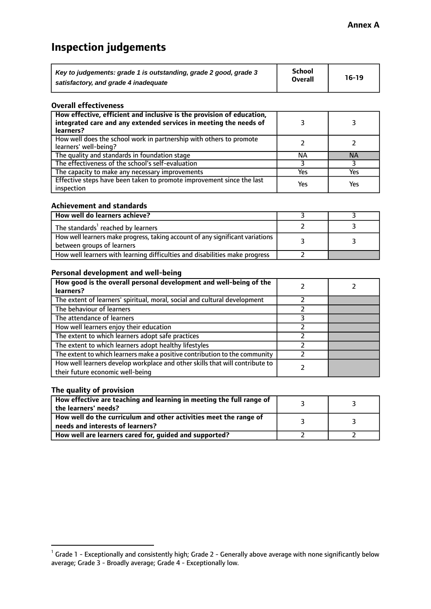# **Inspection judgements**

| Key to judgements: grade 1 is outstanding, grade 2 good, grade 3 | <b>School</b>  | $16-19$ |
|------------------------------------------------------------------|----------------|---------|
| satisfactory, and grade 4 inadequate                             | <b>Overall</b> |         |

#### **Overall effectiveness**

| How effective, efficient and inclusive is the provision of education,<br>integrated care and any extended services in meeting the needs of<br>learners? |     |           |
|---------------------------------------------------------------------------------------------------------------------------------------------------------|-----|-----------|
| How well does the school work in partnership with others to promote<br>learners' well-being?                                                            |     |           |
| The quality and standards in foundation stage                                                                                                           | ΝA  | <b>NA</b> |
| The effectiveness of the school's self-evaluation                                                                                                       |     |           |
| The capacity to make any necessary improvements                                                                                                         | Yes | Yes       |
| Effective steps have been taken to promote improvement since the last<br>inspection                                                                     | Yes | Yes       |

#### **Achievement and standards**

| How well do learners achieve?                                                                                 |  |
|---------------------------------------------------------------------------------------------------------------|--|
| The standards <sup>1</sup> reached by learners                                                                |  |
| How well learners make progress, taking account of any significant variations  <br>between groups of learners |  |
| How well learners with learning difficulties and disabilities make progress                                   |  |

# **Personal development and well-being**

| How good is the overall personal development and well-being of the<br>learners?                                  |  |
|------------------------------------------------------------------------------------------------------------------|--|
| The extent of learners' spiritual, moral, social and cultural development                                        |  |
| The behaviour of learners                                                                                        |  |
| The attendance of learners                                                                                       |  |
| How well learners enjoy their education                                                                          |  |
| The extent to which learners adopt safe practices                                                                |  |
| The extent to which learners adopt healthy lifestyles                                                            |  |
| The extent to which learners make a positive contribution to the community                                       |  |
| How well learners develop workplace and other skills that will contribute to<br>their future economic well-being |  |

#### **The quality of provision**

| How effective are teaching and learning in meeting the full range of<br>the learners' needs?          |  |
|-------------------------------------------------------------------------------------------------------|--|
| How well do the curriculum and other activities meet the range of<br>needs and interests of learners? |  |
| How well are learners cared for, guided and supported?                                                |  |

 $^1$  Grade 1 - Exceptionally and consistently high; Grade 2 - Generally above average with none significantly below average; Grade 3 - Broadly average; Grade 4 - Exceptionally low.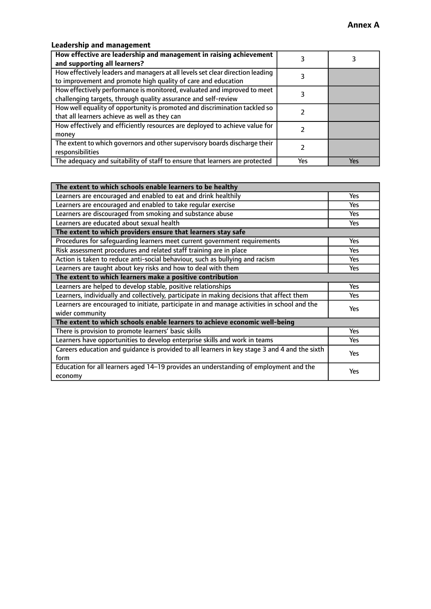# **Leadership and management**

| How effective are leadership and management in raising achievement<br>and supporting all learners?                                              |     |     |
|-------------------------------------------------------------------------------------------------------------------------------------------------|-----|-----|
| How effectively leaders and managers at all levels set clear direction leading<br>to improvement and promote high quality of care and education |     |     |
| How effectively performance is monitored, evaluated and improved to meet<br>challenging targets, through quality assurance and self-review      |     |     |
| How well equality of opportunity is promoted and discrimination tackled so<br>that all learners achieve as well as they can                     |     |     |
| How effectively and efficiently resources are deployed to achieve value for<br>money                                                            |     |     |
| The extent to which governors and other supervisory boards discharge their<br>responsibilities                                                  |     |     |
| The adequacy and suitability of staff to ensure that learners are protected                                                                     | Yes | Yes |

| The extent to which schools enable learners to be healthy                                     |            |
|-----------------------------------------------------------------------------------------------|------------|
| Learners are encouraged and enabled to eat and drink healthily                                | Yes        |
| Learners are encouraged and enabled to take regular exercise                                  | <b>Yes</b> |
| Learners are discouraged from smoking and substance abuse                                     | Yes        |
| Learners are educated about sexual health                                                     | Yes        |
| The extent to which providers ensure that learners stay safe                                  |            |
| Procedures for safeguarding learners meet current government requirements                     | Yes        |
| Risk assessment procedures and related staff training are in place                            | <b>Yes</b> |
| Action is taken to reduce anti-social behaviour, such as bullying and racism                  | Yes        |
| Learners are taught about key risks and how to deal with them                                 | Yes        |
| The extent to which learners make a positive contribution                                     |            |
| Learners are helped to develop stable, positive relationships                                 | <b>Yes</b> |
| Learners, individually and collectively, participate in making decisions that affect them     | <b>Yes</b> |
| Learners are encouraged to initiate, participate in and manage activities in school and the   | <b>Yes</b> |
| wider community                                                                               |            |
| The extent to which schools enable learners to achieve economic well-being                    |            |
| There is provision to promote learners' basic skills                                          | Yes        |
| Learners have opportunities to develop enterprise skills and work in teams                    | Yes        |
| Careers education and quidance is provided to all learners in key stage 3 and 4 and the sixth | Yes        |
| form                                                                                          |            |
| Education for all learners aged 14-19 provides an understanding of employment and the         | Yes        |
| economy                                                                                       |            |